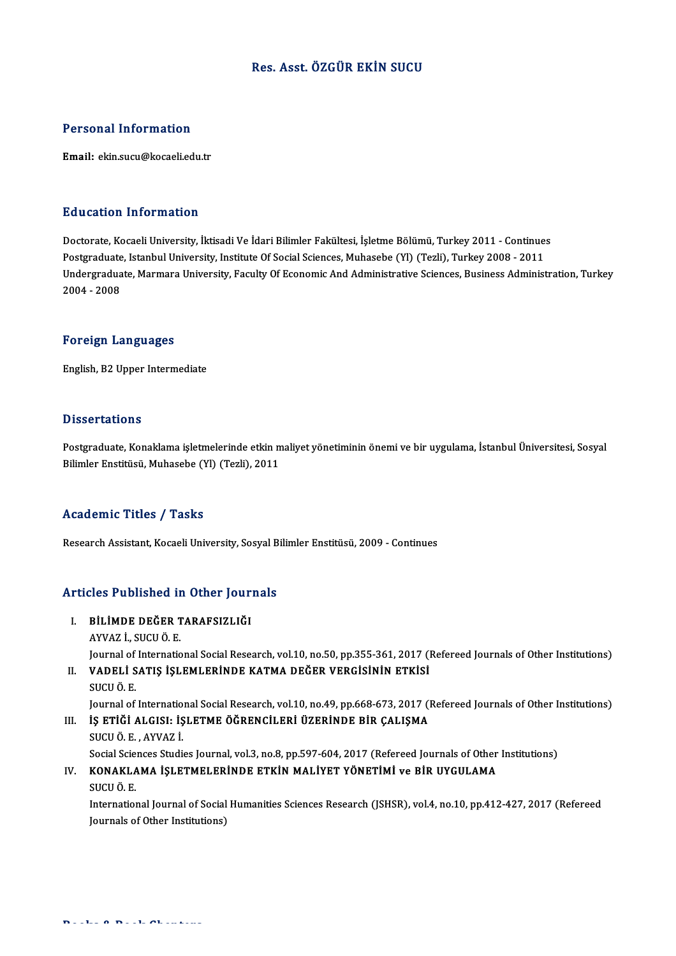### Res. Asst. ÖZGÜR EKİN SUCU

### Personal Information

Email: ekin.sucu@kocaeli.edu.tr

### Education Information

<mark>Education Information</mark><br>Doctorate, Kocaeli University, İktisadi Ve İdari Bilimler Fakültesi, İşletme Bölümü, Turkey 2011 - Continues<br>Postsraduate Istanbul University, Institute Of Social Sciences Muhasebe (Yl) (Tezli), Tur Puususeen Tiitsi inteessi.<br>Doctorate, Kocaeli University, İktisadi Ve İdari Bilimler Fakültesi, İşletme Bölümü, Turkey 2011 - Continue:<br>Indergraduate, Istanbul University, Institute Of Social Sciences, Muhasebe (Yl) (Tezli Undergraduate, Marmara University, Faculty Of Economic And Administrative Sciences, Business Administration, Turkey<br>2004 - 2008 Postgraduate, Istanbul University, Institute Of Social Sciences, Muhasebe (Yl) (Tezli), Turkey 2008 - 2011

### Foreign Languages

English,B2Upper Intermediate

### **Dissertations**

Postgraduate, Konaklama işletmelerinde etkin maliyet yönetiminin önemi ve bir uygulama, İstanbul Üniversitesi, Sosyal Bilimler Enstitüsü, Muhasebe (Yl) (Tezli), 2011

### Academic Titles / Tasks

Research Assistant, Kocaeli University, Sosyal Bilimler Enstitüsü, 2009 - Continues

# Research Assistant, Kocaell University, Sosyal B<br>Articles Published in Other Journals

- Tticles Published in Other Jour<br>I. BİLİMDE DEĞER TARAFSIZLIĞI<br>AYVAZ İ. SICUÖ E I. BILIMDE DEĞER TARAFSIZLIĞI<br>AYVAZ İ., SUCU Ö. E. BİLİMDE DEĞER TARAFSIZLIĞI<br>AYVAZ İ., SUCU Ö. E.<br>Journal of International Social Research, vol.10, no.50, pp.355-361, 2017 (Refereed Journals of Other Institutions)<br>VADELİ SATIS İSLEMI ERİNDE KATMA DEĞER VERÇİSİNİN ETKİSİ
- II. VADELİ SATIŞ İŞLEMLERİNDE KATMA DEĞER VERGİSİNİN ETKİSİ<br>SUCU Ö. E. Journal of<br>**VADELI S<br>SUCU Ö. E.**<br>Journal of

Journal of International Social Research, vol.10, no.49, pp.668-673, 2017 (Refereed Journals of Other Institutions) SUCU Ö. E.<br>Journal of International Social Research, vol.10, no.49, pp.668-673, 2017 (I.<br>III. IS ETIĞİ ALGISI: İŞLETME ÖĞRENCİLERİ ÜZERİNDE BİR ÇALIŞMA<br>SUCU Ö. F. AVIAZ İ

Journal of Internatio<br>**İŞ ETİĞİ ALGISI: İŞ**<br>SUCU Ö. E. , AYVAZ İ.<br>Social Sciances Studi: IŞ ETİĞİ ALGISI: İŞLETME ÖĞRENCİLERİ ÜZERİNDE BİR ÇALIŞMA<br>SUCU Ö. E. , AYVAZ İ.<br>Social Sciences Studies Journal, vol.3, no.8, pp.597-604, 2017 (Refereed Journals of Other Institutions)<br>KONAKI AMA İSLETMELERİNDE ETKİN MALİY SUCU Ö. E. , AYVAZ İ.<br>Social Sciences Studies Journal, vol.3, no.8, pp.597-604, 2017 (Refereed Journals of Other<br>IV. KONAKLAMA İŞLETMELERİNDE ETKİN MALİYET YÖNETİMİ ve BİR UYGULAMA<br>SUCU Ö. E Social Scie<br>**KONAKLA**<br>SUCU Ö. E.<br>Internatiol

KONAKLAMA İŞLETMELERİNDE ETKİN MALİYET YÖNETİMİ ve BİR UYGULAMA<br>SUCU Ö. E.<br>International Journal of Social Humanities Sciences Research (JSHSR), vol.4, no.10, pp.412-427, 2017 (Refereed<br>Journals of Other Institutions) SUCU Ö. E.<br>International Journal of Social<br>Journals of Other Institutions)